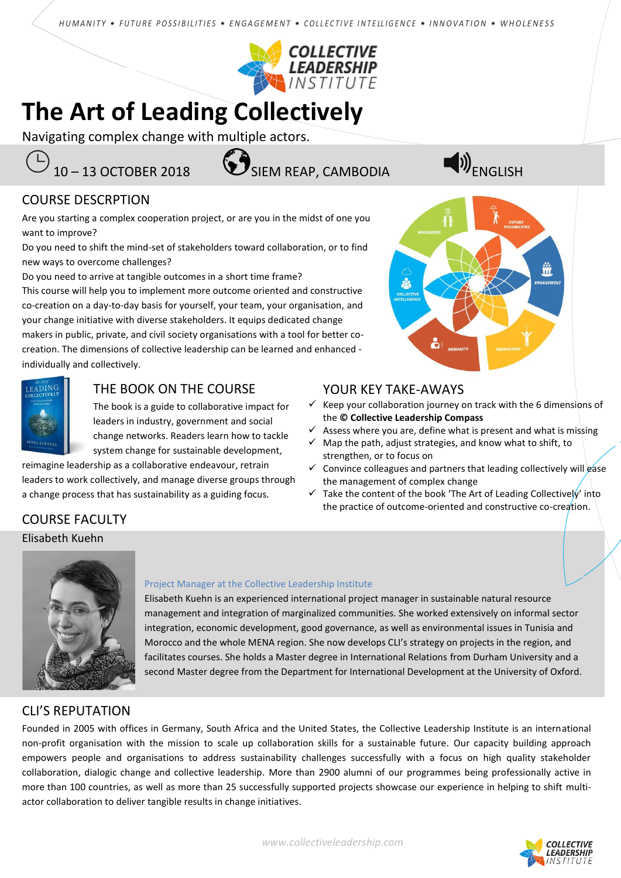HUMANITY . FUTURE POSSIBILITIES . ENGAGEMENT . COLLECTIVE INTELLIGENCE . INNOVATION . WHOLENESS



# **The Art of Leading Collectively**

Navigating complex change with multiple actors.

10 – 13 OCTOBER 2018 SIEM REAP, CAMBODIA ENGLISH

### COURSE DESCRPTION

Are you starting a complex cooperation project, or are you in the midst of one you want to improve?

Do you need to shift the mind-set of stakeholders toward collaboration, or to find new ways to overcome challenges?

Do you need to arrive at tangible outcomes in a short time frame?

This course will help you to implement more outcome oriented and constructive co-creation on a day-to-day basis for yourself, your team, your organisation, and your change initiative with diverse stakeholders. It equips dedicated change makers in public, private, and civil society organisations with a tool for better cocreation. The dimensions of collective leadership can be learned and enhanced individually and collectively.



### THE BOOK ON THE COURSE

The book is a guide to collaborative impact for leaders in industry, government and social change networks. Readers learn how to tackle system change for sustainable development,

reimagine leadership as a collaborative endeavour, retrain leaders to work collectively, and manage diverse groups through a change process that has sustainability as a guiding focus.



### YOUR KEY TAKE-AWAYS

- $\checkmark$  Keep your collaboration journey on track with the 6 dimensions of the **© Collective Leadership Compass**
- $\checkmark$  Assess where you are, define what is present and what is missing
- $\checkmark$  Map the path, adjust strategies, and know what to shift, to strengthen, or to focus on
- $\checkmark$  Convince colleagues and partners that leading collectively will gase the management of complex change
- $\checkmark$  Take the content of the book 'The Art of Leading Collectively' into the practice of outcome-oriented and constructive co-creation.

## COURSE FACULTY

Elisabeth Kuehn



### Project Manager at the Collective Leadership Institute

Elisabeth Kuehn is an experienced international project manager in sustainable natural resource management and integration of marginalized communities. She worked extensively on informal sector integration, economic development, good governance, as well as environmental issues in Tunisia and Morocco and the whole MENA region. She now develops CLI's strategy on projects in the region, and facilitates courses. She holds a Master degree in International Relations from Durham University and a second Master degree from the Department for International Development at the University of Oxford.

### CLI'S REPUTATION

Founded in 2005 with offices in Germany, South Africa and the United States, the Collective Leadership Institute is an international non-profit organisation with the mission to scale up collaboration skills for a sustainable future. Our capacity building approach empowers people and organisations to address sustainability challenges successfully with a focus on high quality stakeholder collaboration, dialogic change and collective leadership. More than 2900 alumni of our programmes being professionally active in more than 100 countries, as well as more than 25 successfully supported projects showcase our experience in helping to shift multiactor collaboration to deliver tangible results in change initiatives.